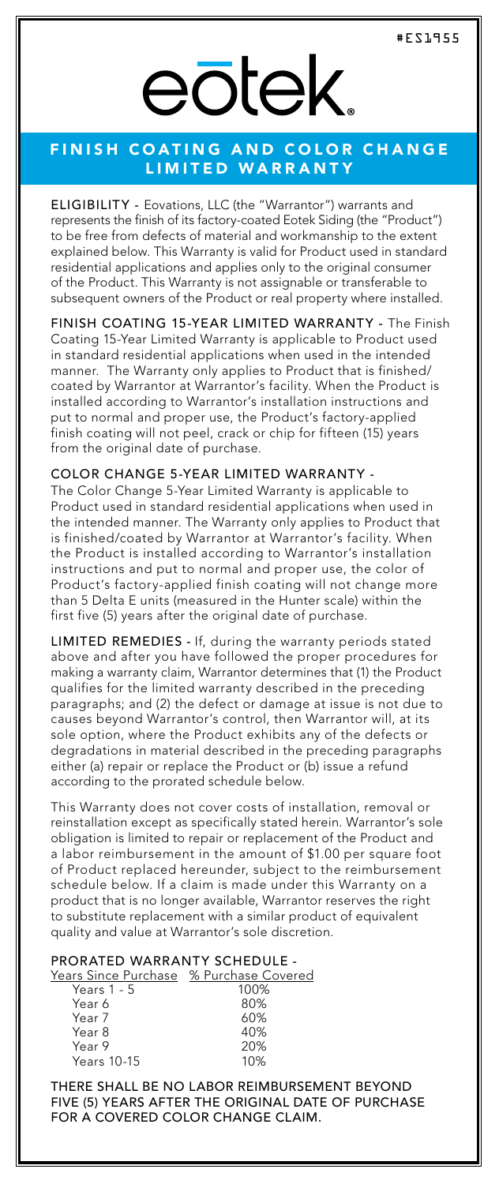# eōtek.

### FINISH COATING AND COLOR CHANGE LIMITED WARRANTY

ELIGIBILITY - Eovations, LLC (the "Warrantor") warrants and represents the finish of its factory-coated Eotek Siding (the "Product") to be free from defects of material and workmanship to the extent explained below. This Warranty is valid for Product used in standard residential applications and applies only to the original consumer of the Product. This Warranty is not assignable or transferable to subsequent owners of the Product or real property where installed.

FINISH COATING 15-YEAR LIMITED WARRANTY - The Finish Coating 15-Year Limited Warranty is applicable to Product used in standard residential applications when used in the intended manner. The Warranty only applies to Product that is finished/ coated by Warrantor at Warrantor's facility. When the Product is installed according to Warrantor's installation instructions and put to normal and proper use, the Product's factory-applied finish coating will not peel, crack or chip for fifteen (15) years from the original date of purchase.

#### COLOR CHANGE 5-YEAR LIMITED WARRANTY -

The Color Change 5-Year Limited Warranty is applicable to Product used in standard residential applications when used in the intended manner. The Warranty only applies to Product that is finished/coated by Warrantor at Warrantor's facility. When the Product is installed according to Warrantor's installation instructions and put to normal and proper use, the color of Product's factory-applied finish coating will not change more than 5 Delta E units (measured in the Hunter scale) within the first five (5) years after the original date of purchase.

LIMITED REMEDIES - If, during the warranty periods stated above and after you have followed the proper procedures for making a warranty claim, Warrantor determines that (1) the Product qualifies for the limited warranty described in the preceding paragraphs; and (2) the defect or damage at issue is not due to causes beyond Warrantor's control, then Warrantor will, at its sole option, where the Product exhibits any of the defects or degradations in material described in the preceding paragraphs either (a) repair or replace the Product or (b) issue a refund according to the prorated schedule below.

This Warranty does not cover costs of installation, removal or reinstallation except as specifically stated herein. Warrantor's sole obligation is limited to repair or replacement of the Product and a labor reimbursement in the amount of \$1.00 per square foot of Product replaced hereunder, subject to the reimbursement schedule below. If a claim is made under this Warranty on a product that is no longer available, Warrantor reserves the right to substitute replacement with a similar product of equivalent quality and value at Warrantor's sole discretion.

# PRORATED WARRANTY SCHEDULE -<br>Years Since Purchase % Purchase Covered

| Years Since Purchase % Purchase Covered |      |
|-----------------------------------------|------|
| Years 1 - 5                             | 100% |
| Year 6                                  | 80%  |
| Year 7                                  | 60%  |
| Year 8                                  | 40%  |
| Year 9                                  | 20%  |
| Years 10-15                             | 10%  |

THERE SHALL BE NO LABOR REIMBURSEMENT BEYOND FIVE (5) YEARS AFTER THE ORIGINAL DATE OF PURCHASE FOR A COVERED COLOR CHANGE CLAIM.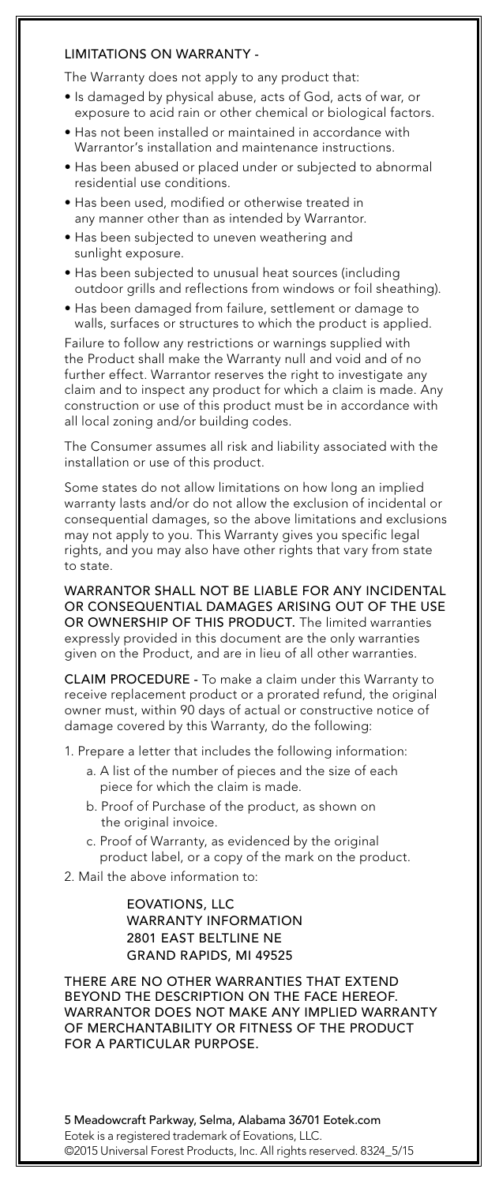#### LIMITATIONS ON WARRANTY -

The Warranty does not apply to any product that:

- Is damaged by physical abuse, acts of God, acts of war, or exposure to acid rain or other chemical or biological factors.
- Has not been installed or maintained in accordance with Warrantor's installation and maintenance instructions.
- Has been abused or placed under or subjected to abnormal residential use conditions.
- Has been used, modified or otherwise treated in any manner other than as intended by Warrantor.
- Has been subjected to uneven weathering and sunlight exposure.
- Has been subjected to unusual heat sources (including outdoor grills and reflections from windows or foil sheathing).
- Has been damaged from failure, settlement or damage to walls, surfaces or structures to which the product is applied.

Failure to follow any restrictions or warnings supplied with the Product shall make the Warranty null and void and of no further effect. Warrantor reserves the right to investigate any claim and to inspect any product for which a claim is made. Any construction or use of this product must be in accordance with all local zoning and/or building codes.

The Consumer assumes all risk and liability associated with the installation or use of this product.

Some states do not allow limitations on how long an implied warranty lasts and/or do not allow the exclusion of incidental or consequential damages, so the above limitations and exclusions may not apply to you. This Warranty gives you specific legal rights, and you may also have other rights that vary from state to state.

WARRANTOR SHALL NOT BE LIABLE FOR ANY INCIDENTAL OR CONSEQUENTIAL DAMAGES ARISING OUT OF THE USE OR OWNERSHIP OF THIS PRODUCT. The limited warranties expressly provided in this document are the only warranties given on the Product, and are in lieu of all other warranties.

CLAIM PROCEDURE - To make a claim under this Warranty to receive replacement product or a prorated refund, the original owner must, within 90 days of actual or constructive notice of damage covered by this Warranty, do the following:

1. Prepare a letter that includes the following information:

- a. A list of the number of pieces and the size of each piece for which the claim is made.
- b. Proof of Purchase of the product, as shown on the original invoice.
- c. Proof of Warranty, as evidenced by the original product label, or a copy of the mark on the product.
- 2. Mail the above information to:

 EOVATIONS, LLC WARRANTY INFORMATION 2801 EAST BELTLINE NE GRAND RAPIDS, MI 49525

THERE ARE NO OTHER WARRANTIES THAT EXTEND BEYOND THE DESCRIPTION ON THE FACE HEREOF. WARRANTOR DOES NOT MAKE ANY IMPLIED WARRANTY OF MERCHANTABILITY OR FITNESS OF THE PRODUCT FOR A PARTICULAR PURPOSE.

5 Meadowcraft Parkway, Selma, Alabama 36701 Eotek.com Eotek is a registered trademark of Eovations, LLC. ©2015 Universal Forest Products, Inc. All rights reserved. 8324\_5/15